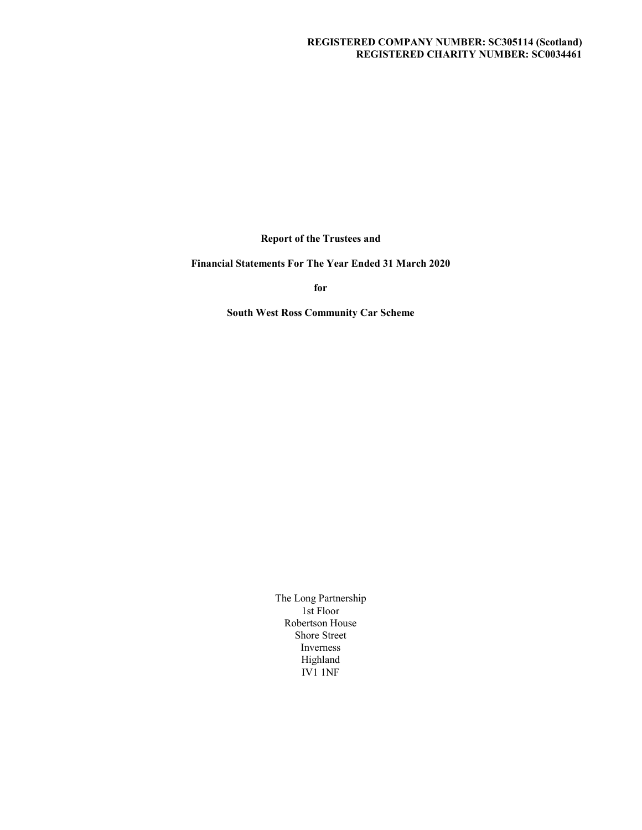# REGISTERED COMPANY NUMBER: SC305114 (Scotland) REGISTERED CHARITY NUMBER: SC0034461

Report of the Trustees and

Financial Statements For The Year Ended 31 March 2020

for the contract of the contract of the contract of the contract of the contract of the contract of the contract of the contract of the contract of the contract of the contract of the contract of the contract of the contra

South West Ross Community Car Scheme

The Long Partnership 1st Floor Robertson House Shore Street Inverness Highland IV1 1NF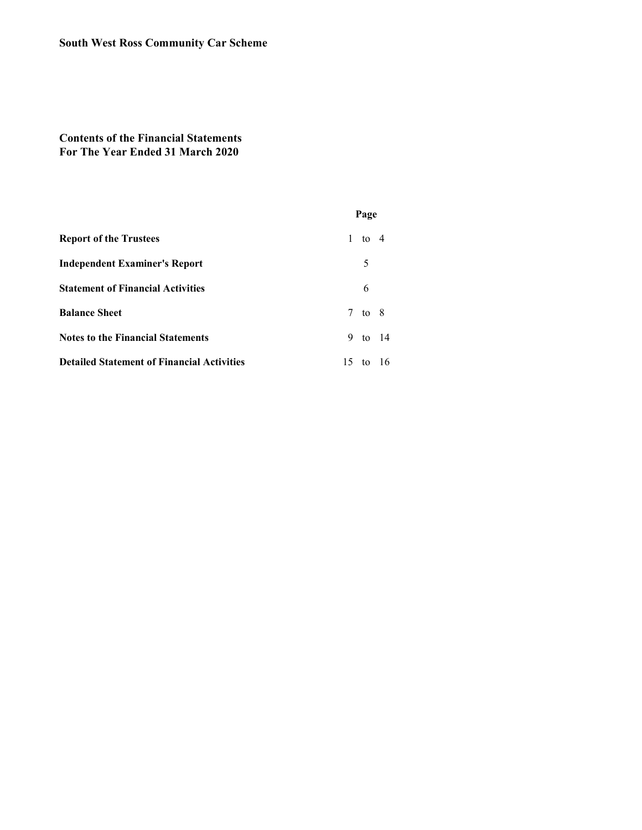# Contents of the Financial Statements For The Year Ended 31 March 2020

| <b>South West Ross Community Car Scheme</b>                                     |               |
|---------------------------------------------------------------------------------|---------------|
| <b>Contents of the Financial Statements</b><br>For The Year Ended 31 March 2020 |               |
|                                                                                 | Page          |
| <b>Report of the Trustees</b>                                                   | $1$ to $4$    |
| <b>Independent Examiner's Report</b>                                            | $\mathfrak s$ |
| <b>Statement of Financial Activities</b>                                        | 6             |
| <b>Balance Sheet</b>                                                            | $7$ to $8$    |
|                                                                                 | 9 to 14       |
| <b>Notes to the Financial Statements</b>                                        |               |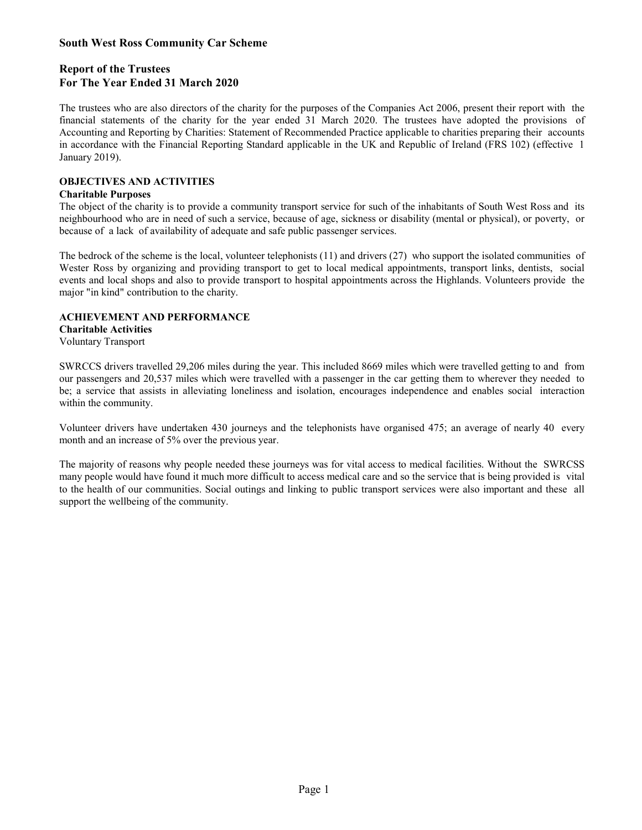# Report of the Trustees For The Year Ended 31 March 2020

**South West Ross Community Car Scheme**<br> **Report of the Trustees**<br> **For The Year Ended 31 March 2020**<br>
The trustees who are also directors of the charity for the purposes of the Companies Act 2006, present their report with **South West Ross Community Car Scheme**<br>**Report of the Trustees**<br>**For The Vear Ended 31 March 2020**<br>The trustees who are also directors of the charity for the purposes of the Companies Act 2006, present their report with th **South West Ross Community Car Scheme**<br> **Report of the Trustees**<br> **For The Year Ended 31 March 2020**<br>
The trustees who are also directors of the charity for the purposes of the Companies Act 2006, present their report with **South West Ross Community Car Scheme**<br> **Report of the Trustees**<br> **For The Year Ended 31 March 2020**<br>
The trustees who are also directors of the charity for the purposes of the Companies Act 2006, present their report with January 2019). **South West Ross Community Car Scheme**<br> **Report of the Trustees**<br> **For The Year Ended 31 March 2020**<br> **For The Vear Ended 31 March 2020**<br> **For trustes** who are also directors of the charity for the year ended 31 March 2020 **South West Ross Community Car Scheme**<br>**Report of the Trustees**<br>**For The Year Ended 31 March 2020**<br>**The trustees** who are also directors of the charity for the purposes of the Companies Act 2006, present their report with South West Ross Community Car Scheme<br>
Report of the Trustees<br>
For The Vear Ended 31 March 2020<br>
The trustees who are also directors of the charity for the purposes of the Companies Act 2006, present their report with the<br> **South West Ross Community Car Scheme**<br> **Report of the Trustees**<br> **For The Year Ended 31 March 2020**<br>
The trustees who are also directors of the charity for the purposes of the Companies Act 2006, present their report with **South West Ross Community Car Scheme**<br> **Report of the Trustees**<br> **For The Vear Ended 31 March 2020**<br>
The trustees who are also directors of the charity for the purposes of the Companies Act 2006, present their report with The trustees who are also directors of the charity for the parposes of the Companies Act 2006, present their report with the finamcial statements of the charity for the year ended 31 March 2020. The traskees have adopted t The tractes who are us to due to the charty for the perposes of the Compannes Act 2006, present then treput with the charty for the year ended 31 Much 2020. The tractes have adopted the pravisions of Accounting and Reporti

# OBJECTIVES AND ACTIVITIES

### Charitable Purposes

because of a lack of availability of adequate and safe public passenger services.

major "in kind" contribution to the charity.

### ACHIEVEMENT AND PERFORMANCE

Charitable Activities

Voluntary Transport

Imancul statements of the charge tor the year entded 31 Much. 2020. The tractees three ustopical provisions of<br>Accounting and Reporting by Charities: Statement of Recommended Prucitic applicable to charities preparing thei within the community. Junuary 2019).<br> **OharicTUVENG AND ACTIVITIES**<br> **Oharitable Purposes**<br> **Charitable Purposes**<br> **Charitable Purposes**<br> **Charitable Purposes**<br> **Charitable Purposes**<br> **Charitable Purposes**<br> **Charitable Purposes**<br> **Charitable Pu** 

month and an increase of 5% over the previous year.

**Charitale Parposes**<br>
Cherical Fire cheric yis to provide a community transport service for such of the inhabitants of South West Ross and its<br>
meighbourhood who are in reed of such a service, because of a gate, sickines The object of the charge is in provide a community transport service, for such of the malabulants of Soular West Reves and the conjugity (metal or physical), or poverty, or because of a lack of availability of adequate and to the health of our community.<br>
secures of a lack of availability of adequate and safe public passenger services.<br>
The bedrock of the scheme is the local, volumeer telephonists (11) and drivers (27) who support the isola support the wellbeing of the community.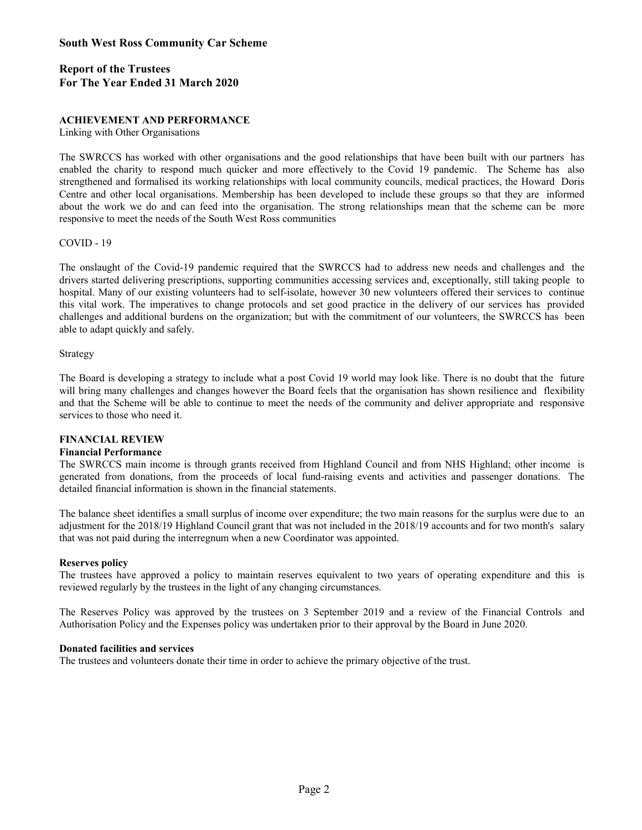# Report of the Trustees For The Year Ended 31 March 2020

# ACHIEVEMENT AND PERFORMANCE

#### Linking with Other Organisations

**South West Ross Community Car Scheme**<br> **Report of the Trustees**<br> **For The Year Ended 31 March 2020**<br> **ACHIEVEMENT AND PERFORMANCE**<br>
Linking with Other Organisations<br>
The SWRCCS has worked with other organisations and the South West Ross Community Car Scheme<br>
Report of the Trustees<br>
For The Vear Ended 31 March 2020<br>
ACHIEVEMENT AND PERFORMANCE<br>
Linking with Other Organisations<br>
The SWRCCS has worked with other organisations and the good rel South West Ross Community Car Scheme<br>
Report of the Trustees<br>
For The Year Ended 31 March 2020<br>
ACHIEVEMENT AND PERFORMANCE<br>
Linking with Other Organisations<br>
The SWRCCS has worked with other organisations and the good rel **South West Ross Community Car Scheme**<br> **Report of the Trustees**<br> **For The Year Ended 31 March 2020**<br> **ACHIEVEMENT AND PERFORMANCE**<br>
Linking with Other Organisations.<br>
The SWRCCS has worked with other organisations and the South West Ross Community Car Scheme<br>
Report of the Trustees<br>
For The Year Ended 31 March 2020<br>
ACHIEVEMENT AND PERFORMANCE<br>
Linking with Other Organisations<br>
The SWRCCS has worked with other organisations and the good rel responsive to meet the needs of the South West Ross communities

#### COVID - 19

**South West Ross Community Car Scheme**<br>**Report of the Trustees**<br>For The Year Ended 31 March 2020<br>
Linking with other Organisations<br>
The SWRCCS has worked with other organisations and the good relationships that have been b South West Ross Community Car Scheme<br>
Report of the Trustees<br>
For The Vear Ended 31 March 2020<br>
ACHIEVEMENT AND PERFORMANCE.<br>
Linking with other Organisations<br>
The SWRCCS has worked with other argumisations and the good re **South West Ross Community Car Scheme**<br> **Report of the Trustees**<br> **Roof The Vear Ended 31 March 2020**<br> **ACHIEVEMENT AND PERFORMANCE**<br>
Linking with Other Organisations<br>
enabled the charity to respond much quicker and more e **South West Ross Community Car Scheme**<br> **Report of the Trustees**<br> **For The Vear Ended 31 March 2020**<br> **ACHIEVEMENT AND PERFORMANCE**<br> **Linking** with Other Organisations<br>
The SWRCCS has worked with other organisations and th **Solution Constrained Solution** Carrieres and the spot challenges that have been built with our partners has a<br>**ACHEVENENT AND PERRORMANCE**<br>The SWRCCS has worked with other organisations and the good relationships that hav able to adapt quickly and safely. ACHIEVEMENT AND PERFORMANCE<br>
Linking with Other Organisations and the good relationships that have been built with our partners has<br>
readed the charity to respond much quicker and more effectively to the Covid 19 pandemic. ACIIIN/KMI-NT AND PERICONDED TO THE CONSIDENT AND THE SIMULATION OF THE SWECTS has vorted with other organisations and the good relationships that have been built with our partners has shownling with Docal community counci 1.mking with Other Organisations<br>The SWRCCS has voreked with other organisations and the good relationships that have been built with our partners has<br>cleaned the charity to respond much quicker and more effectively to the Centre and other local organisations. Membership has been developed to include these groups so that they are informed<br>dood the work we do and can feed into the organisation. The strong relationships mean that the scheme ca ubout the work we do und can freed mis the organisation. The shares communities<br>about the work we do und can be responsive to methal the state of the Covid-19 pandemic required that the SWRCCS had to address new needs and COVID - 19<br>The onslayed of the Covid-19 pandemic required that the SWRCCS had to addess new needs and challenges and the<br>The onslayed delivering prescriptions, supporting communities accessing services and, exceptionally, The omslaught of the Covid-19 pandemic required that the SWRCCS had to address new needs and challenges and the drivers started delivering rememberions, supporting communities accessing services and, exceptionally, still t

#### Strategy

services to those who need it. The matual work. The mempetives to change protocols and set good practice in the delivery of our services has provided<br>thallenges and additional burdens on the organization; but with the commitment of our volunteers, the S Strutegy<br>The Board is developing a strategy to include what a post Covid 19 world may look like. There is no doubt that the future<br>will bring many challenges and changes however the Board feels that the organisation has sh

#### FINANCIAL REVIEW

#### Financial Performance

detailed financial information is shown in the financial statements.

that was not paid during the interregnum when a new Coordinator was appointed.

### Reserves policy

reviewed regularly by the trustees in the light of any changing circumstances.

Authorisation Policy and the Expenses policy was undertaken prior to their approval by the Board in June 2020.

#### Donated facilities and services

The trustees and volunteers donate their time in order to achieve the primary objective of the trust.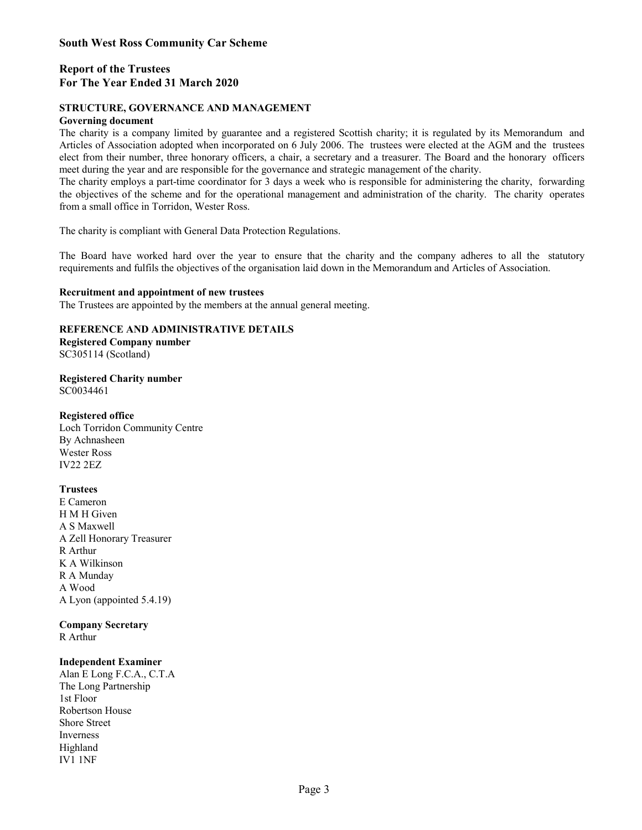# Report of the Trustees For The Year Ended 31 March 2020

## STRUCTURE, GOVERNANCE AND MANAGEMENT

#### Governing document

South West Ross Community Car Scheme<br>
Report of the Trustees<br>
For The Year Ended 31 March 2020<br>
STRUCTURE, GOVERNANCE AND MANAGEMENT<br>
Governing document<br>
The charity is a company limited by guarantee and a registered Scott South West Ross Community Car Scheme<br>
Report of the Trustees<br>
For The Year Ended 31 March 2020<br>
STRUCTURE, GOVERNANCE AND MANAGEMENT<br>
Governing document<br>
The charity is a company limited by guarantee and a registered Scott **South West Ross Community Car Scheme**<br>**Report of the Trustees**<br>**For The Year Ended 31 March 2020**<br>**STRUCTURE, GOVERNANCE AND MANAGEMENT**<br>**Covering document**<br>*Christy* is a company limited by guarantee and a registered Sco meet during the year and are responsible for the governance and strategic management of the charity. South West Ross Community Car Scheme<br>
Report of the Trustees<br>
For The Year Ended 31 March 2020<br>
STRUCTURE, GOVERNANCE AND MANAGEMENT<br>
To Coverning document<br>
The charity is a company limited by guarantee and a registered Sc **South West Ross Community Car Scheme**<br> **Report of the Trustees**<br> **For The Year Ended 31 March 2020**<br> **Govering document**<br> **Govering objectives, GOVERNANCE AND MANAGEMENT**<br>
The charity is a company limited by guarantee and South West Ross Community Car Scheme<br>
Report of the Trustees<br>
For The Vear Ended 31 March 2020<br>
STRUCTURE, GOVERNANCE AND MANAGEMENT<br>
The charity is a company limited by guarantee and a registered Scottish charity; it is r

from a small office in Torridon, Wester Ross.

The charity is compliant with General Data Protection Regulations.

requirements and fulfils the objectives of the organisation laid down in the Memorandum and Articles of Association.

### Recruitment and appointment of new trustees

The Trustees are appointed by the members at the annual general meeting.

# REFERENCE AND ADMINISTRATIVE DETAILS

Registered Company number SC305114 (Scotland)

Registered Charity number SC0034461

### Registered office

Loch Torridon Community Centre By Achnasheen Wester Ross IV22 2EZ

### **Trustees**

E Cameron H M H Given A S Maxwell A Zell Honorary Treasurer R Arthur K A Wilkinson R A Munday A Wood A Lyon (appointed 5.4.19)

Company Secretary

R Arthur

### Independent Examiner

Alan E Long F.C.A., C.T.A The Long Partnership 1st Floor Robertson House Shore Street Inverness Highland IV1 1NF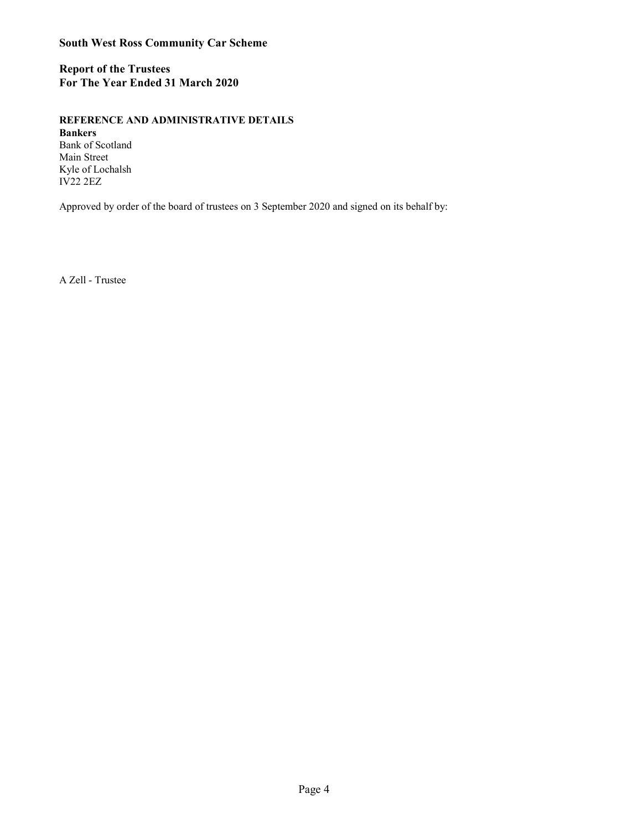Report of the Trustees For The Year Ended 31 March 2020

REFERENCE AND ADMINISTRATIVE DETAILS

Bankers Bank of Scotland Main Street Kyle of Lochalsh IV22 2EZ

Approved by order of the board of trustees on 3 September 2020 and signed on its behalf by:

A Zell - Trustee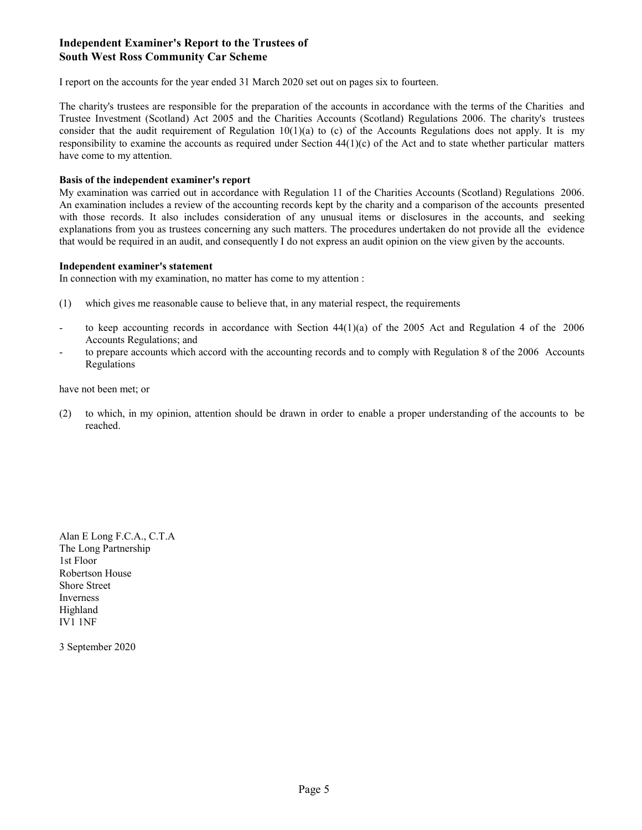# Independent Examiner's Report to the Trustees of South West Ross Community Car Scheme

I report on the accounts for the year ended 31 March 2020 set out on pages six to fourteen.

Independent Examiner's Report to the Trustees of<br>South West Ross Community Car Scheme<br>I report on the accounts for the year ended 31 March 2020 set out on pages six to fourteen.<br>The charity's trustees are responsible for t Independent Examiner's Report to the Trustees of<br>South West Ross Community Car Scheme<br>I report on the accounts for the year ended 31 March 2020 set out on pages six to fourteen.<br>The charity's trustees are responsible for t Independent Examiner's Report to the Trustees of<br>South West Ross Community Car Scheme<br>I report on the accounts for the year ended 31 March 2020 set out on pages six to fourteen.<br>The charity's trustees are responsible for t **Independent Examiner's Report to the Trustees of**<br> **South West Ross Community Car Scheme**<br>
I report on the accounts for the year ended 31 March 2020 set out on pages six to fourteen.<br>
The charity's trustees are responsibl have come to my attention. Independent Examiner's Report to the Trustees of<br>South West Ross Community Car Scheme<br>Treport on the accounts for the year ended 31 March 2020 set out on pages six to fourteen.<br>The charity's trustess are responsible for th **Independent Examiner's Report to the Trustees of**<br> **South West Ross Community Car Scheme**<br>
I report on the accounts for the year ended 31 March 2020 set out on pages six to fourteen.<br>
The charity's trustees are responsibl Independent Examiner's Report to the Trustees of<br>South West Ross Community Car Scheme<br>I report on the accounts for the year ended 31 March 2020 set out on pages six to fourteen.<br>The charity's trustees are responsible for t **Independent Examiner's Report to the Trustees of**<br>**South West Ross Community Car Scheme**<br>
I report on the accounts for the year ended 31 March 2020 set out on pages six to fourteen.<br>
The charity's trustees are responsible **Independent Examiner's Report to the Trustees of**<br> **South West Ross Community Car Scheme**<br> **I** report on the accounts for the year ended 31 March 2020 set out on pages six to fourteen.<br>
The charity's trustees are respons **South West Ross Community Car Scheme**<br>
I report on the accounts for the year ended 31 March 2020 set out m pages six to fourteen.<br>
The charities and records informed to the the preparation of the accounts in accordance w I report on the accounts livr the year ended 31 Murch 2020 set out on pages six to burteen.<br>The clarity's trustees are responsible for the preparation of the accounts (Scotland) Regulations 2006. The charity's trustees<br>Th

#### Basis of the independent examiner's report

that would be required in an audit, and consequently I do not express an audit opinion on the view given by the accounts. responsibility to examine the accounts as required under Section 44(1)e) of the Act and to state whether particular natters<br>
Have come to ny attention.<br>
May examination was carried out in accordance with Regulation 11 of

#### Independent examiner's statement

In connection with my examination, no matter has come to my attention :

- 
- Accounts Regulations; and
- Regulations

have not been met; or

reached.

Alan E Long F.C.A., C.T.A The Long Partnership 1st Floor Robertson House Shore Street Inverness Highland IV1 1NF

3 September 2020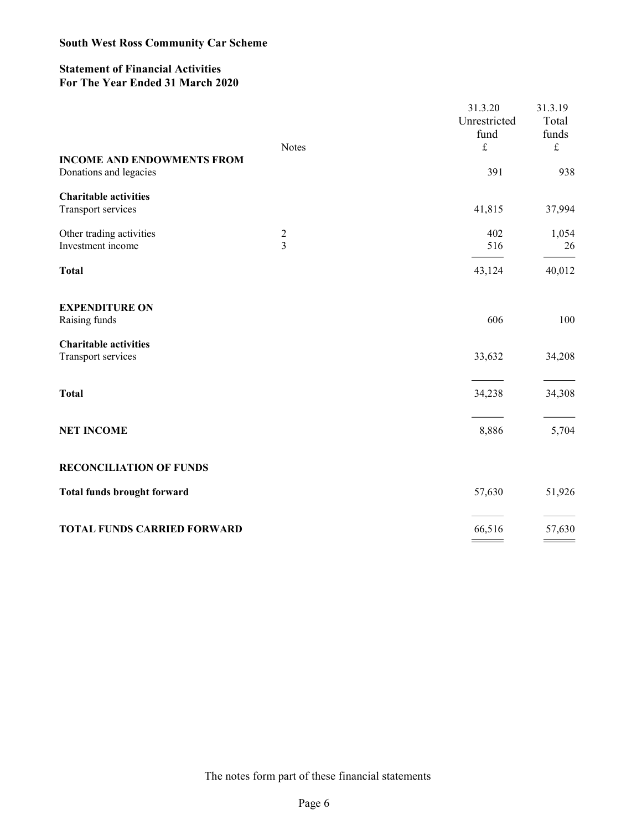# Statement of Financial Activities For The Year Ended 31 March 2020

| <b>South West Ross Community Car Scheme</b>                                  |               |                                 |                           |
|------------------------------------------------------------------------------|---------------|---------------------------------|---------------------------|
| <b>Statement of Financial Activities</b><br>For The Year Ended 31 March 2020 |               |                                 |                           |
|                                                                              |               | 31.3.20<br>Unrestricted<br>fund | 31.3.19<br>Total<br>funds |
| <b>INCOME AND ENDOWMENTS FROM</b><br>Donations and legacies                  | <b>Notes</b>  | $\pounds$<br>391                | $\pounds$<br>938          |
| <b>Charitable activities</b><br>Transport services                           |               | 41,815                          | 37,994                    |
| Other trading activities<br>Investment income                                | $\frac{2}{3}$ | 402<br>516                      | 1,054<br>26               |
| <b>Total</b>                                                                 |               | 43,124                          | 40,012                    |
| <b>EXPENDITURE ON</b><br>Raising funds                                       |               | 606                             | 100                       |
| <b>Charitable activities</b><br>Transport services                           |               | 33,632                          | 34,208                    |
| <b>Total</b>                                                                 |               | 34,238                          | 34,308                    |
| <b>NET INCOME</b>                                                            |               | 8,886                           | 5,704                     |
| <b>RECONCILIATION OF FUNDS</b>                                               |               |                                 |                           |
| Total funds brought forward                                                  |               | 57,630                          | 51,926                    |
| TOTAL FUNDS CARRIED FORWARD                                                  |               | 66,516                          | 57,630                    |

The notes form part of these financial statements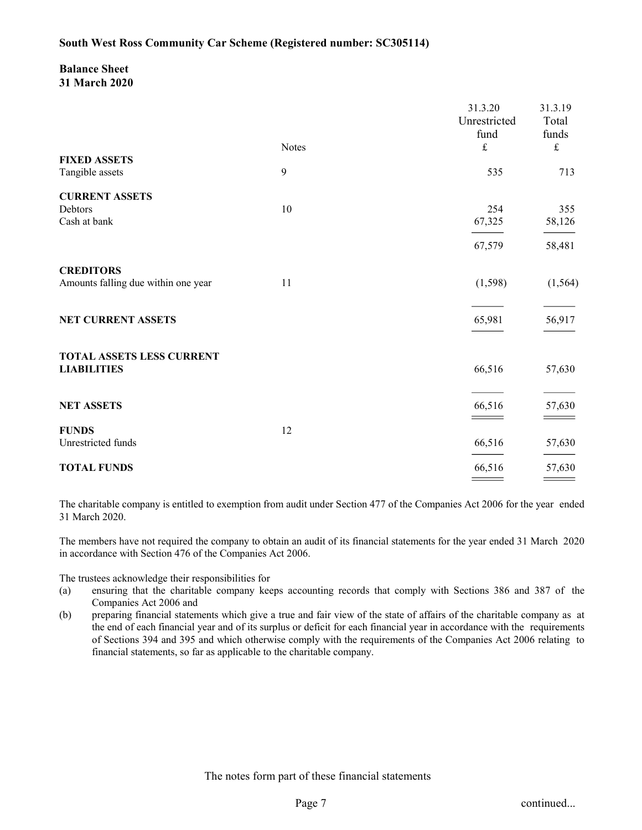# Balance Sheet 31 March 2020

|              | South West Ross Community Car Scheme (Registered number: SC305114)                                                                                                                                                                                                                                                                                                                                                                                                                                                                                                  |                                                                       |                                                |                                          |
|--------------|---------------------------------------------------------------------------------------------------------------------------------------------------------------------------------------------------------------------------------------------------------------------------------------------------------------------------------------------------------------------------------------------------------------------------------------------------------------------------------------------------------------------------------------------------------------------|-----------------------------------------------------------------------|------------------------------------------------|------------------------------------------|
|              | <b>Balance Sheet</b><br>31 March 2020                                                                                                                                                                                                                                                                                                                                                                                                                                                                                                                               |                                                                       |                                                |                                          |
|              |                                                                                                                                                                                                                                                                                                                                                                                                                                                                                                                                                                     | <b>Notes</b>                                                          | 31.3.20<br>Unrestricted<br>fund<br>$\mathbf f$ | 31.3.19<br>Total<br>funds<br>$\mathbf f$ |
|              | <b>FIXED ASSETS</b><br>Tangible assets                                                                                                                                                                                                                                                                                                                                                                                                                                                                                                                              | 9                                                                     | 535                                            | 713                                      |
| Debtors      | <b>CURRENT ASSETS</b><br>Cash at bank                                                                                                                                                                                                                                                                                                                                                                                                                                                                                                                               | 10                                                                    | 254<br>67,325                                  | 355<br>58,126                            |
|              |                                                                                                                                                                                                                                                                                                                                                                                                                                                                                                                                                                     |                                                                       | 67,579                                         | 58,481                                   |
|              | <b>CREDITORS</b><br>Amounts falling due within one year                                                                                                                                                                                                                                                                                                                                                                                                                                                                                                             | 11                                                                    | (1, 598)                                       | (1, 564)                                 |
|              | NET CURRENT ASSETS                                                                                                                                                                                                                                                                                                                                                                                                                                                                                                                                                  |                                                                       | 65,981                                         | 56,917                                   |
|              | TOTAL ASSETS LESS CURRENT<br><b>LIABILITIES</b>                                                                                                                                                                                                                                                                                                                                                                                                                                                                                                                     |                                                                       | 66,516                                         | 57,630                                   |
|              | <b>NET ASSETS</b>                                                                                                                                                                                                                                                                                                                                                                                                                                                                                                                                                   |                                                                       | 66,516<br>$\sim$ $\sim$                        | 57,630                                   |
| <b>FUNDS</b> | Unrestricted funds                                                                                                                                                                                                                                                                                                                                                                                                                                                                                                                                                  | 12                                                                    | 66,516                                         | 57,630                                   |
|              | <b>TOTAL FUNDS</b>                                                                                                                                                                                                                                                                                                                                                                                                                                                                                                                                                  |                                                                       | 66,516<br>$\equiv$ $\equiv$                    | 57,630<br>$\qquad \qquad =$              |
|              | The charitable company is entitled to exemption from audit under Section 477 of the Companies Act 2006 for the year ended<br>31 March 2020.                                                                                                                                                                                                                                                                                                                                                                                                                         |                                                                       |                                                |                                          |
|              | The members have not required the company to obtain an audit of its financial statements for the year ended 31 March 2020<br>in accordance with Section 476 of the Companies Act 2006.                                                                                                                                                                                                                                                                                                                                                                              |                                                                       |                                                |                                          |
| (a)<br>(b)   | The trustees acknowledge their responsibilities for<br>ensuring that the charitable company keeps accounting records that comply with Sections 386 and 387 of the<br>Companies Act 2006 and<br>preparing financial statements which give a true and fair view of the state of affairs of the charitable company as at<br>the end of each financial year and of its surplus or deficit for each financial year in accordance with the requirements<br>of Sections 394 and 395 and which otherwise comply with the requirements of the Companies Act 2006 relating to | financial statements, so far as applicable to the charitable company. |                                                |                                          |

- Companies Act 2006 and
- financial statements, so far as applicable to the charitable company. In a mudit of its financial statements for the year ended 31 March 2020<br>
1006.<br>
Continued...<br>
Continued...<br>
Continued...<br>
and fair view of the state of affairs of the charitable company as at<br>
or of the state of a francial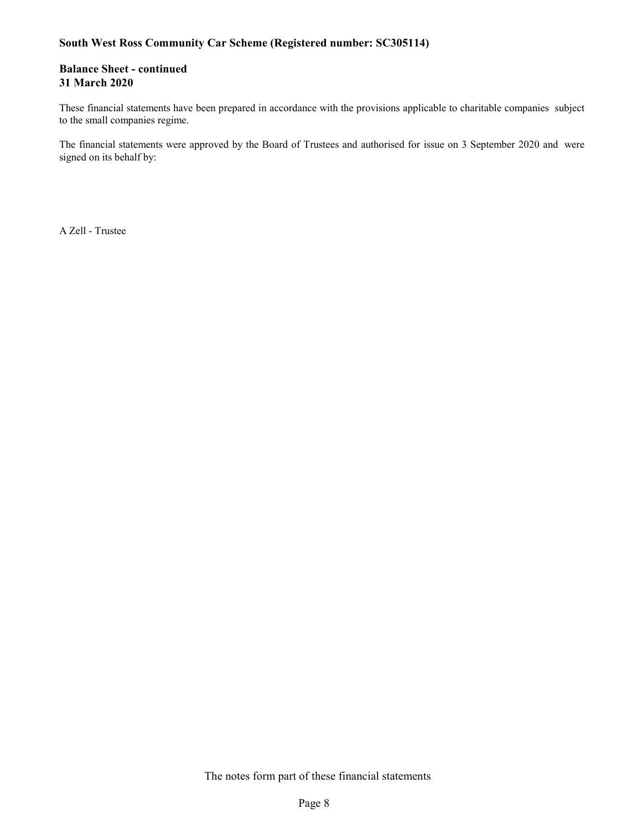# South West Ross Community Car Scheme (Registered number: SC305114)

# Balance Sheet - continued 31 March 2020

to the small companies regime.

South West Ross Community Car Scheme (Registered number: SC305114)<br>
Balance Sheet - continued<br>
31 March 2020<br>
These financial statements have been prepared in accordance with the provisions applicable to charitable compani South West Ross Community Car Scheme (Registered number: SC305114)<br>
Balance Sheet - continued<br>
31 March 2020<br>
These financial statements have been prepared in accordance with the provisions applicable to charitable compani signed on its behalf by:

A Zell - Trustee

The notes form part of these financial statements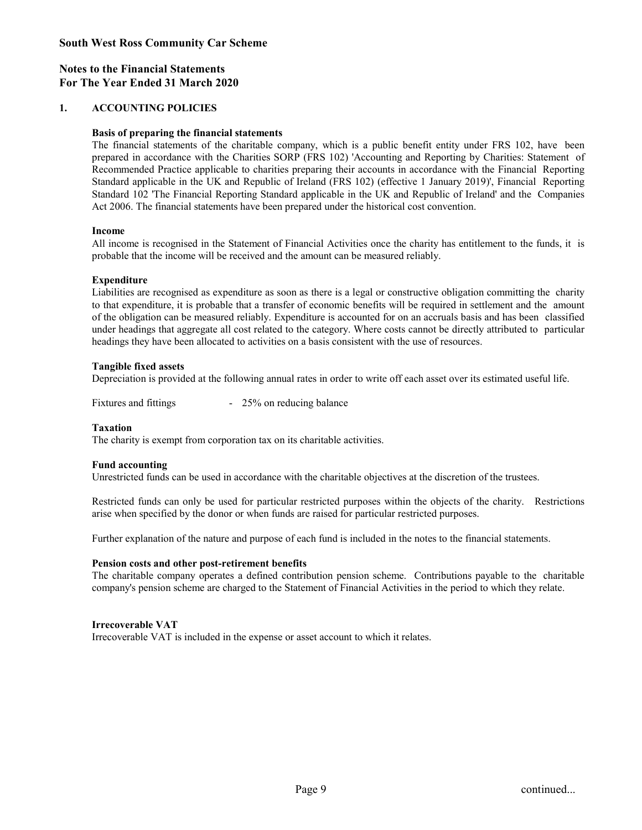# Notes to the Financial Statements For The Year Ended 31 March 2020

## Basis of preparing the financial statements

South West Ross Community Car Scheme<br>
Notes to the Financial Statements<br>
For The Year Ended 31 March 2020<br>
1. ACCOUNTING POLICIES<br>
Basis of preparing the financial statements<br>
The financial statements of the charitable com West Ross Community Car Scheme<br>
to the Financial Statements<br>
e Year Ended 31 March 2020<br>
ACCOUNTING POLICIES<br>
Basis of preparing the financial statements<br>
The financial statements<br>
of the charities company, which is a publ West Ross Community Car Scheme<br>
e Year Ended 31 March 2020<br>
ACCOUNTING POLICIES<br>
Basis of preparing the financial statements<br>
The financial statements of the charitable company, which is a public benefit entity under FRS 1 West Ross Community Car Scheme<br>
Recommended 31 March 2020<br>
ACCOUNTING POLICIES<br>
Basis of preparing the financial statements<br>
The financial statements of the charitable company, which is a public benefit entity under FRS 10 West Ross Community Car Scheme<br>
West Ross Community Car Scheme<br>
West Paramonical Statements<br>
The financial statements<br>
The financial statements of the charitable company, which is a public benefit entity under FRS 102, hav West Ross Community Car Scheme<br>
of the Financial Statements<br>
Standard 31 March 2020<br>
ACCOUNTING POLICIES<br>
Basis of preparing the financial statements<br>
The financial statements<br>
or Prepared in accordance with the Charities Act 2006. The financial statements have been prepared under the historical cost convention. West Ross Community Car Scheme<br>
to the Financial Statements<br>
active Correlation of March 2020<br>
ACCOUNTING POLICIES<br>
Basis of preparing the financial statements<br>
The financial statements of the charitable company, which is West Ross Community Car Scheme<br>
Le Vear Ended 31 March 2020<br>
ACCOUNTING POLICIES<br>
Basis of preparing the financial statements<br>
The financial statements of the charitable company, which is a public benefit entity under FRS West Ross Community Car Scheme<br>
to the Financial Statements<br>
ie Vear Finded 31 March 2020<br>
ACCOUNTING POLICIES<br>
Basis of preparing the financial statements<br>
The financial such and the charaches with the Charaches SORP (FRS **v/sa/ ross community Can science**<br>
to the Financial Statements<br>
is the Prancial Statements<br>
The financial statements<br>
The financial statements<br>
The financial statements<br>
The financial statements of the charitable company to the Financial Statements<br>
ie Year Ended 31 March 2020<br>
ACCOUNTING POILICES<br>
This age of preparing the financial statements<br>
The financial statements of the charitable company, which is a public benefit entity under FRS **Basis of preparaling the financial statements** company, which is a public benefit entity under FRS 102, have been prepared in accordance with the Charlies SORP (FRS 102). Accounting and Reporting the charlies SORP (FRS 1

### Income

probable that the income will be received and the amount can be measured reliably.

### Expenditure

headings they have been allocated to activities on a basis consistent with the use of resources. **Income<br>
In comme is recognised in the Stutement of Financial Activities once the charity has entitlement to the funds, it is<br>
probable that the income will be received and the amount can be measured reliably.<br>
<b>Expenditur** to the coperation of the probable link a frameler of economic benefits will be required in seltierem in and the amound the modifical stand has been classified under headings they have been gate related to the category. Whe

### Tangible fixed assets

Depreciation is provided at the following annual rates in order to write off each asset over its estimated useful life.

### Taxation

The charity is exempt from corporation tax on its charitable activities.

# Fund accounting

Unrestricted funds can be used in accordance with the charitable objectives at the discretion of the trustees.

arise when specified by the donor or when funds are raised for particular restricted purposes.

Further explanation of the nature and purpose of each fund is included in the notes to the financial statements.

### Pension costs and other post-retirement benefits

company's pension scheme are charged to the Statement of Financial Activities in the period to which they relate. research fund is included in the notes to the financial statements.<br>
The statement of Financial Activities in the period to which they relate.<br>
asset account to which it relates.<br>
<br>
asset account to which it relates.<br>
<br>
Pa

### Irrecoverable VAT

Irrecoverable VAT is included in the expense or asset account to which it relates.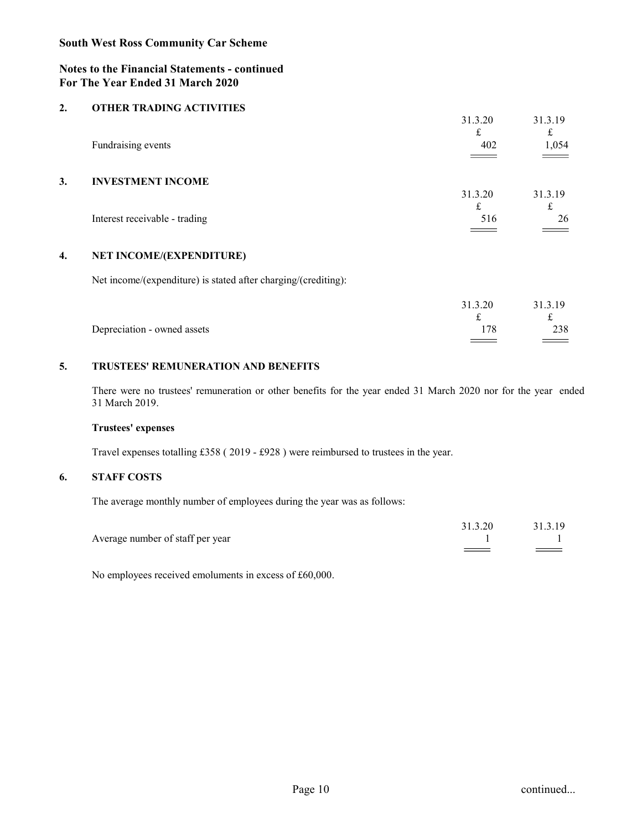# Notes to the Financial Statements - continued For The Year Ended 31 March 2020

|    | <b>South West Ross Community Car Scheme</b>                                                                                      |                                        |                                 |
|----|----------------------------------------------------------------------------------------------------------------------------------|----------------------------------------|---------------------------------|
|    | <b>Notes to the Financial Statements - continued</b><br>For The Year Ended 31 March 2020                                         |                                        |                                 |
| 2. | <b>OTHER TRADING ACTIVITIES</b>                                                                                                  |                                        |                                 |
|    |                                                                                                                                  | 31.3.20<br>$\mathbf f$                 | 31.3.19<br>$\mathbf f$          |
|    | Fundraising events                                                                                                               | 402                                    | 1,054                           |
| 3. | <b>INVESTMENT INCOME</b>                                                                                                         | 31.3.20                                | 31.3.19                         |
|    | Interest receivable - trading                                                                                                    | $\mathbf f$<br>516                     | $\mathbf f$<br>26               |
|    |                                                                                                                                  | $\hspace{1.5cm} =$                     | $\qquad \qquad =$               |
| 4. | <b>NET INCOME/(EXPENDITURE)</b>                                                                                                  |                                        |                                 |
|    | Net income/(expenditure) is stated after charging/(crediting):                                                                   |                                        |                                 |
|    |                                                                                                                                  | 31.3.20<br>$\ensuremath{\mathbf{f}}$   | 31.3.19<br>$\pounds$            |
|    | Depreciation - owned assets                                                                                                      | 178<br>$\qquad \qquad = \qquad \qquad$ | 238<br>$\qquad \qquad = \qquad$ |
| 5. | TRUSTEES' REMUNERATION AND BENEFITS                                                                                              |                                        |                                 |
|    | There were no trustees' remuneration or other benefits for the year ended 31 March 2020 nor for the year ended<br>31 March 2019. |                                        |                                 |
|    | <b>Trustees' expenses</b>                                                                                                        |                                        |                                 |
|    | Travel expenses totalling £358 (2019 - £928) were reimbursed to trustees in the year.                                            |                                        |                                 |

|    | Interest receivable - trading                                                                                                    | $\mathbf t$<br>516  | $\mathbf t$<br>26             |
|----|----------------------------------------------------------------------------------------------------------------------------------|---------------------|-------------------------------|
| 4. | NET INCOME/(EXPENDITURE)                                                                                                         |                     |                               |
|    | Net income/(expenditure) is stated after charging/(crediting):                                                                   |                     |                               |
|    | Depreciation - owned assets                                                                                                      | 31.3.20<br>£<br>178 | 31.3.19<br>$\mathbf f$<br>238 |
| 5. | TRUSTEES' REMUNERATION AND BENEFITS                                                                                              |                     |                               |
|    | There were no trustees' remuneration or other benefits for the year ended 31 March 2020 nor for the year ended<br>31 March 2019. |                     |                               |
|    | Trustees' expenses                                                                                                               |                     |                               |
|    | Travel expenses totalling £358 (2019 - £928) were reimbursed to trustees in the year.                                            |                     |                               |
| 6. | <b>STAFF COSTS</b>                                                                                                               |                     |                               |
|    | The average monthly number of employees during the year was as follows:                                                          |                     |                               |
|    | Average number of staff per year                                                                                                 | 31.3.20             | 31.3.19                       |
|    | No employees received emoluments in excess of £60,000.                                                                           |                     |                               |
|    |                                                                                                                                  |                     |                               |

# Trustees' expenses

| Average number of staff per year                       | 31.3.20 | 31.3.19   |
|--------------------------------------------------------|---------|-----------|
| No employees received emoluments in excess of £60,000. |         |           |
|                                                        |         |           |
|                                                        |         |           |
|                                                        |         |           |
|                                                        |         |           |
|                                                        |         |           |
| Page 10                                                |         | continued |
|                                                        |         |           |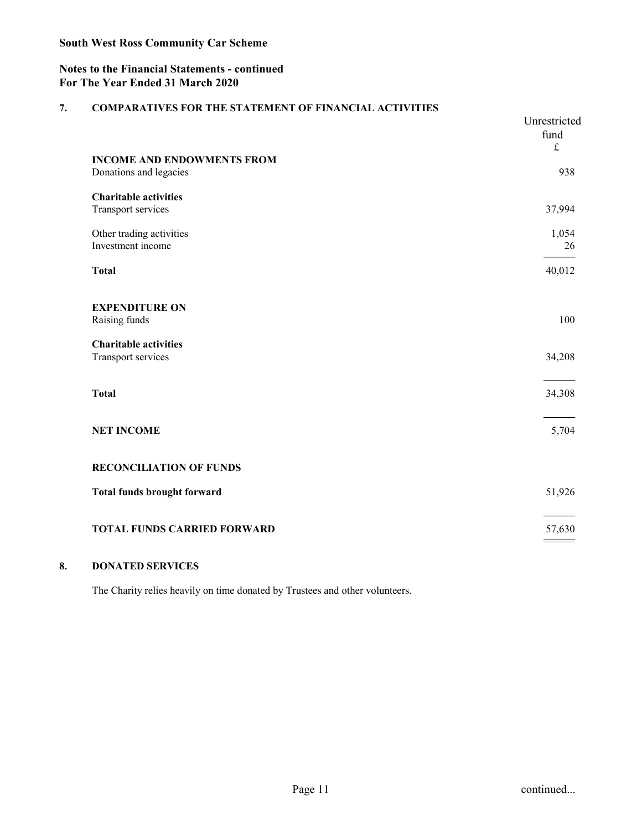# Notes to the Financial Statements - continued For The Year Ended 31 March 2020

|    | For The Year Ended 31 March 2020                                                                        |                              |
|----|---------------------------------------------------------------------------------------------------------|------------------------------|
| 7. | <b>COMPARATIVES FOR THE STATEMENT OF FINANCIAL ACTIVITIES</b>                                           | Unrestricted<br>fund         |
|    | <b>INCOME AND ENDOWMENTS FROM</b><br>Donations and legacies                                             | $\pounds$<br>938             |
|    | <b>Charitable activities</b><br>Transport services                                                      | 37,994                       |
|    | Other trading activities<br>Investment income                                                           | 1,054<br>26                  |
|    | <b>Total</b>                                                                                            | 40,012                       |
|    | <b>EXPENDITURE ON</b><br>Raising funds                                                                  | 100                          |
|    | <b>Charitable activities</b><br>Transport services                                                      | 34,208                       |
|    | <b>Total</b>                                                                                            | 34,308                       |
|    | NET INCOME                                                                                              | 5,704                        |
|    | <b>RECONCILIATION OF FUNDS</b>                                                                          |                              |
|    | Total funds brought forward                                                                             | 51,926                       |
|    | TOTAL FUNDS CARRIED FORWARD                                                                             | $\frac{57,630}{\frac{1}{2}}$ |
| 8. | <b>DONATED SERVICES</b><br>The Charity relies heavily on time donated by Trustees and other volunteers. |                              |
|    |                                                                                                         |                              |
|    |                                                                                                         |                              |
|    |                                                                                                         |                              |
|    |                                                                                                         |                              |
|    |                                                                                                         |                              |
|    | Page 11                                                                                                 | continued                    |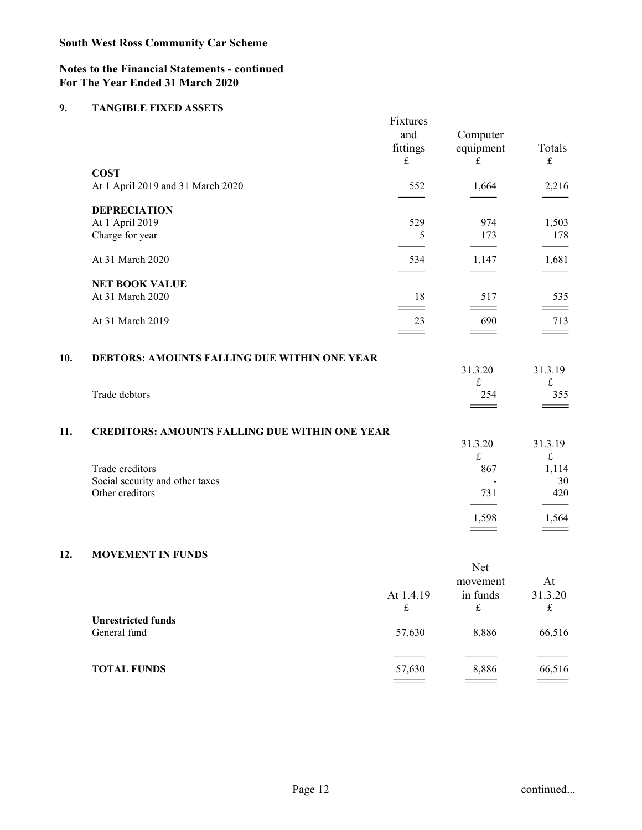# Notes to the Financial Statements - continued For The Year Ended 31 March 2020

|     | <b>Notes to the Financial Statements - continued</b><br>For The Year Ended 31 March 2020 |                       |                                   |                                     |
|-----|------------------------------------------------------------------------------------------|-----------------------|-----------------------------------|-------------------------------------|
| 9.  | <b>TANGIBLE FIXED ASSETS</b>                                                             |                       |                                   |                                     |
|     |                                                                                          | Fixtures<br>and       | Computer                          |                                     |
|     |                                                                                          | fittings<br>$\pounds$ | equipment<br>$\pounds$            | Totals<br>$\ensuremath{\mathbf{f}}$ |
|     | <b>COST</b><br>At 1 April 2019 and 31 March 2020                                         | 552                   | 1,664                             | 2,216                               |
|     | <b>DEPRECIATION</b>                                                                      |                       |                                   |                                     |
|     | At 1 April 2019<br>Charge for year                                                       | 529<br>$\mathfrak{S}$ | 974<br>173                        | 1,503<br>178                        |
|     | At 31 March 2020                                                                         | 534                   | $\overline{\phantom{a}}$<br>1,147 | 1,681                               |
|     | <b>NET BOOK VALUE</b>                                                                    |                       |                                   |                                     |
|     | At 31 March 2020                                                                         | 18<br>$=$             | 517<br>==                         | 535<br>$\hspace{1.5cm} =$           |
|     | At 31 March 2019                                                                         | 23<br>$\equiv$        | 690<br>$\qquad \qquad =$          | 713<br>$\qquad \qquad =$            |
| 10. | DEBTORS: AMOUNTS FALLING DUE WITHIN ONE YEAR                                             |                       |                                   |                                     |
|     |                                                                                          |                       | 31.3.20<br>$\pounds$              | 31.3.19<br>$\pounds$                |
|     | Trade debtors                                                                            |                       | 254<br>$\qquad \qquad =$          | 355<br>$\qquad \qquad = \qquad$     |
| 11. | <b>CREDITORS: AMOUNTS FALLING DUE WITHIN ONE YEAR</b>                                    |                       |                                   |                                     |
|     |                                                                                          |                       | 31.3.20<br>$\pounds$              | 31.3.19<br>$\pounds$                |
|     | Trade creditors<br>Social security and other taxes                                       |                       | 867<br>$\overline{a}$             | 1,114<br>30                         |
|     | Other creditors                                                                          |                       | 731                               | 420                                 |
|     |                                                                                          |                       | 1,598<br>$\qquad \qquad = \qquad$ | 1,564<br>$\qquad \qquad = \qquad$   |
| 12. | <b>MOVEMENT IN FUNDS</b>                                                                 |                       |                                   |                                     |
|     |                                                                                          |                       | Net                               |                                     |
|     |                                                                                          | At 1.4.19             | movement<br>in funds              | At<br>31.3.20                       |
|     | <b>Unrestricted funds</b>                                                                | $\pounds$             | $\pounds$                         | $\ensuremath{\mathbf{f}}$           |
|     | General fund                                                                             | 57,630                | 8,886                             | 66,516                              |
|     | <b>TOTAL FUNDS</b>                                                                       | 57,630                | 8,886                             | 66,516                              |

| <b>MOVEMENT IN FUNDS</b><br>Net                                                                                                                                                                                                                                                                                                                                                                                                                                                                 |                          |
|-------------------------------------------------------------------------------------------------------------------------------------------------------------------------------------------------------------------------------------------------------------------------------------------------------------------------------------------------------------------------------------------------------------------------------------------------------------------------------------------------|--------------------------|
|                                                                                                                                                                                                                                                                                                                                                                                                                                                                                                 |                          |
|                                                                                                                                                                                                                                                                                                                                                                                                                                                                                                 |                          |
| movement<br>At 1.4.19<br>in funds                                                                                                                                                                                                                                                                                                                                                                                                                                                               | At<br>31.3.20            |
| $\pounds$<br>$\pounds$<br><b>Unrestricted funds</b>                                                                                                                                                                                                                                                                                                                                                                                                                                             | $\pounds$                |
| General fund<br>57,630<br>8,886                                                                                                                                                                                                                                                                                                                                                                                                                                                                 | 66,516                   |
| 57,630<br>8,886<br><b>TOTAL FUNDS</b>                                                                                                                                                                                                                                                                                                                                                                                                                                                           | 66,516                   |
| $\frac{1}{2} \left( \frac{1}{2} \right) \left( \frac{1}{2} \right) \left( \frac{1}{2} \right) \left( \frac{1}{2} \right) \left( \frac{1}{2} \right) \left( \frac{1}{2} \right) \left( \frac{1}{2} \right) \left( \frac{1}{2} \right) \left( \frac{1}{2} \right) \left( \frac{1}{2} \right) \left( \frac{1}{2} \right) \left( \frac{1}{2} \right) \left( \frac{1}{2} \right) \left( \frac{1}{2} \right) \left( \frac{1}{2} \right) \left( \frac{1}{2} \right) \left( \frac$<br>$\qquad \qquad =$ | $\qquad \qquad = \qquad$ |
|                                                                                                                                                                                                                                                                                                                                                                                                                                                                                                 |                          |
|                                                                                                                                                                                                                                                                                                                                                                                                                                                                                                 |                          |
|                                                                                                                                                                                                                                                                                                                                                                                                                                                                                                 |                          |
| Page 12                                                                                                                                                                                                                                                                                                                                                                                                                                                                                         | continued                |
|                                                                                                                                                                                                                                                                                                                                                                                                                                                                                                 |                          |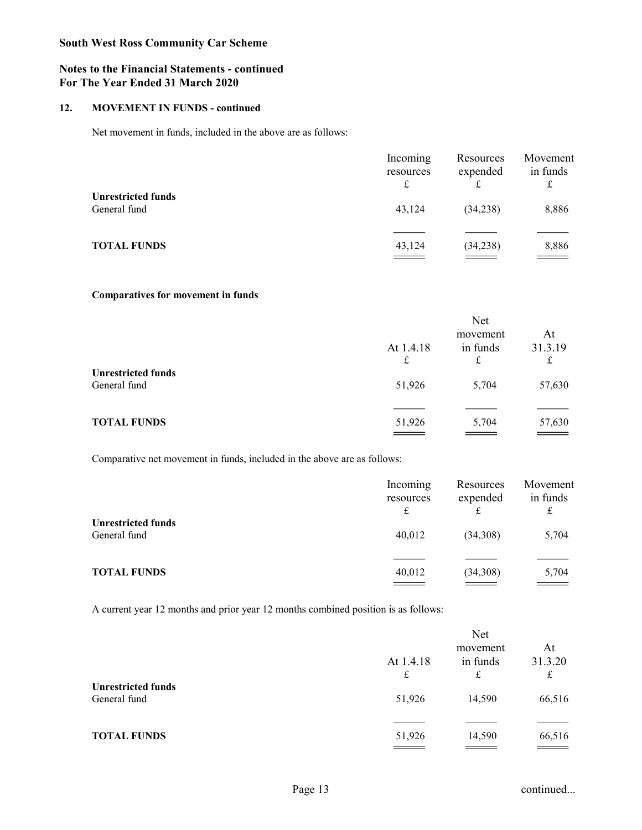## Notes to the Financial Statements - continued For The Year Ended 31 March 2020

|     | <b>South West Ross Community Car Scheme</b>                                              |                                        |                                                          |                                     |
|-----|------------------------------------------------------------------------------------------|----------------------------------------|----------------------------------------------------------|-------------------------------------|
|     | <b>Notes to the Financial Statements - continued</b><br>For The Year Ended 31 March 2020 |                                        |                                                          |                                     |
| 12. | <b>MOVEMENT IN FUNDS - continued</b>                                                     |                                        |                                                          |                                     |
|     | Net movement in funds, included in the above are as follows:                             |                                        |                                                          |                                     |
|     |                                                                                          | Incoming<br>resources<br>$\pounds$     | Resources<br>expended<br>$\pounds$                       | Movement<br>in funds<br>$\mathbf f$ |
|     | <b>Unrestricted funds</b><br>General fund                                                | 43,124                                 | (34,238)                                                 | 8,886                               |
|     | <b>TOTAL FUNDS</b>                                                                       | 43,124                                 | (34,238)                                                 | 8,886                               |
|     | Comparatives for movement in funds                                                       |                                        |                                                          |                                     |
|     |                                                                                          | At 1.4.18<br>$\ensuremath{\mathbf{f}}$ | Net<br>movement<br>in funds<br>$\ensuremath{\mathbf{f}}$ | At<br>31.3.19<br>$\pounds$          |
|     | <b>Unrestricted funds</b><br>General fund                                                | 51,926                                 | 5,704                                                    | 57,630                              |
|     |                                                                                          |                                        |                                                          |                                     |

## Comparatives for movement in funds

| <b>MOVEMENT IN FUNDS - continued</b>                                               |                                    |                            |                                     |
|------------------------------------------------------------------------------------|------------------------------------|----------------------------|-------------------------------------|
| Net movement in funds, included in the above are as follows:                       |                                    |                            |                                     |
|                                                                                    | Incoming<br>resources<br>$\pounds$ | Resources<br>expended<br>£ | Movement<br>in funds<br>$\mathbf f$ |
| <b>Unrestricted funds</b>                                                          |                                    |                            |                                     |
| General fund                                                                       | 43,124                             | (34,238)                   | 8,886                               |
| <b>TOTAL FUNDS</b>                                                                 |                                    | (34,238)                   | 8,886                               |
|                                                                                    |                                    |                            |                                     |
| <b>Comparatives for movement in funds</b>                                          |                                    |                            |                                     |
|                                                                                    |                                    | Net                        |                                     |
|                                                                                    | At 1.4.18                          | movement<br>in funds       | At<br>31.3.19                       |
|                                                                                    | $\mathbf f$                        | $\pounds$                  | $\pounds$                           |
| <b>Unrestricted funds</b><br>General fund                                          | 51,926                             | 5,704                      | 57,630                              |
|                                                                                    |                                    |                            |                                     |
| <b>TOTAL FUNDS</b>                                                                 | 51,926                             | 5,704                      | 57,630                              |
|                                                                                    |                                    |                            |                                     |
| Comparative net movement in funds, included in the above are as follows:           |                                    |                            |                                     |
|                                                                                    | Incoming                           | Resources                  | Movement                            |
|                                                                                    | resources<br>$\pounds$             | expended<br>$\mathbf f$    | in funds<br>$\mathbf f$             |
| <b>Unrestricted funds</b>                                                          |                                    |                            |                                     |
| General fund                                                                       | 40,012                             | (34,308)                   | 5,704                               |
| <b>TOTAL FUNDS</b>                                                                 | 40,012                             | (34,308)                   | 5,704                               |
|                                                                                    | $\overline{\phantom{a}}$           | $\overline{\phantom{a}}$   |                                     |
| A current year 12 months and prior year 12 months combined position is as follows: |                                    |                            |                                     |
|                                                                                    |                                    | Net                        |                                     |

| General fund                                                                       | 51,926                             | 5,704                      | 57,630                            |
|------------------------------------------------------------------------------------|------------------------------------|----------------------------|-----------------------------------|
|                                                                                    |                                    |                            |                                   |
| <b>TOTAL FUNDS</b>                                                                 | 51,926                             | 5,704                      | 57,630                            |
|                                                                                    |                                    |                            |                                   |
| Comparative net movement in funds, included in the above are as follows:           |                                    |                            |                                   |
|                                                                                    | Incoming<br>resources<br>$\pounds$ | Resources<br>expended<br>£ | Movement<br>in funds<br>$\pounds$ |
| <b>Unrestricted funds</b>                                                          |                                    |                            |                                   |
| General fund                                                                       | 40,012                             | (34,308)                   | 5,704                             |
|                                                                                    |                                    |                            |                                   |
| <b>TOTAL FUNDS</b>                                                                 | 40,012                             | (34,308)                   |                                   |
|                                                                                    |                                    | $\overline{\phantom{a}}$   |                                   |
| A current year 12 months and prior year 12 months combined position is as follows: |                                    |                            |                                   |
|                                                                                    |                                    | Net                        |                                   |
|                                                                                    |                                    | movement                   | At                                |
|                                                                                    | At 1.4.18                          | in funds                   | 31.3.20                           |
|                                                                                    | $\mathbf f$                        | $\pounds$                  | $\mathbf f$                       |
| <b>Unrestricted funds</b>                                                          |                                    |                            |                                   |
| General fund                                                                       | 51,926                             | 14,590                     | 66,516                            |
|                                                                                    |                                    |                            |                                   |
|                                                                                    |                                    |                            |                                   |

| <b>TOTAL FUNDS</b>                                                                 | 51,926                             | 5,704                              | 57,630                              |
|------------------------------------------------------------------------------------|------------------------------------|------------------------------------|-------------------------------------|
|                                                                                    |                                    | $=$                                | $\sim$ $\sim$                       |
| Comparative net movement in funds, included in the above are as follows:           |                                    |                                    |                                     |
|                                                                                    | Incoming<br>resources<br>$\pounds$ | Resources<br>expended<br>$\pounds$ | Movement<br>in funds<br>$\mathbf f$ |
| <b>Unrestricted funds</b>                                                          |                                    |                                    |                                     |
| General fund                                                                       | 40,012                             | (34,308)                           | 5,704                               |
|                                                                                    |                                    |                                    |                                     |
| <b>TOTAL FUNDS</b>                                                                 | 40,012                             | (34,308)                           | 5,704                               |
|                                                                                    | $\overline{\phantom{a}}$           | $\equiv$ $\equiv$                  | $\sim$ $\sim$                       |
| A current year 12 months and prior year 12 months combined position is as follows: |                                    |                                    |                                     |
|                                                                                    |                                    |                                    |                                     |
|                                                                                    |                                    | Net                                |                                     |
|                                                                                    |                                    | movement                           | At                                  |
|                                                                                    | At 1.4.18                          | in funds                           | 31.3.20                             |
| <b>Unrestricted funds</b>                                                          | $\pounds$                          | $\pounds$                          | $\ensuremath{\mathbf{f}}$           |
| General fund                                                                       | 51,926                             | 14,590                             | 66,516                              |
|                                                                                    |                                    |                                    |                                     |
| <b>TOTAL FUNDS</b>                                                                 | 51,926                             | 14,590                             | 66,516                              |
|                                                                                    | $\sim$ $\sim$ $\sim$ $\sim$        | $\sim$ $\sim$ $\sim$               | $\equiv$ $\equiv$ $\equiv$          |
|                                                                                    |                                    |                                    |                                     |
|                                                                                    |                                    |                                    |                                     |
|                                                                                    | Page 13                            |                                    | continued                           |
|                                                                                    |                                    |                                    |                                     |
|                                                                                    |                                    |                                    |                                     |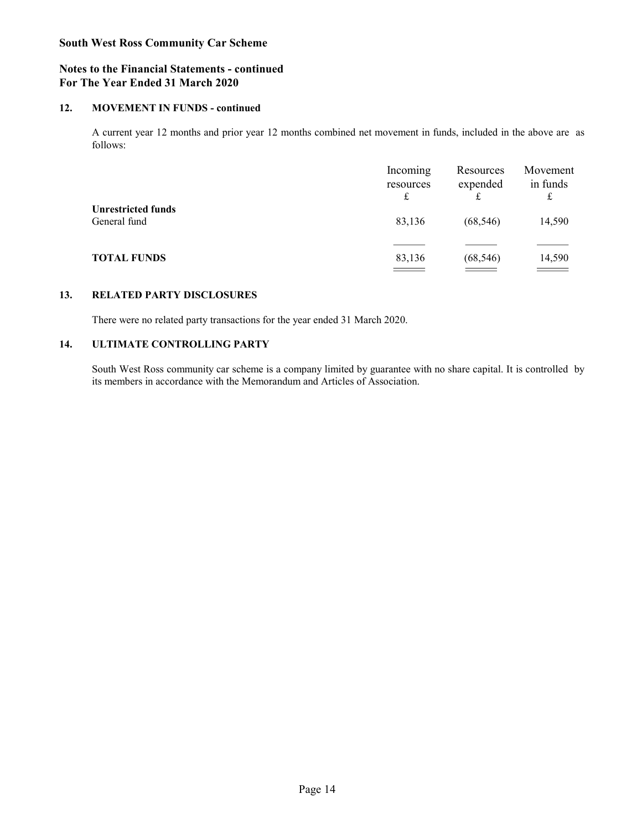# Notes to the Financial Statements - continued For The Year Ended 31 March 2020

12. South West Ross Community Car Scheme<br>12. Motes to the Financial Statements - continued<br>12. MOVEMENT IN FUNDS - continued<br>12. MOVEMENT IN FUNDS - continued<br>12. Movement in 1<br>12. Movement 12 months and prior year 12 mont follows:

|     | <b>South West Ross Community Car Scheme</b>                                                                                                                                                     |                                      |                                      |                                     |  |  |  |  |
|-----|-------------------------------------------------------------------------------------------------------------------------------------------------------------------------------------------------|--------------------------------------|--------------------------------------|-------------------------------------|--|--|--|--|
|     | <b>Notes to the Financial Statements - continued</b><br>For The Year Ended 31 March 2020                                                                                                        |                                      |                                      |                                     |  |  |  |  |
| 12. | <b>MOVEMENT IN FUNDS - continued</b>                                                                                                                                                            |                                      |                                      |                                     |  |  |  |  |
|     | A current year 12 months and prior year 12 months combined net movement in funds, included in the above are as<br>follows:                                                                      |                                      |                                      |                                     |  |  |  |  |
|     |                                                                                                                                                                                                 | Incoming<br>resources<br>$\mathbf f$ | Resources<br>expended<br>$\mathbf f$ | Movement<br>in funds<br>$\mathbf f$ |  |  |  |  |
|     | <b>Unrestricted funds</b><br>General fund                                                                                                                                                       | 83,136                               | (68, 546)                            | 14,590                              |  |  |  |  |
|     | <b>TOTAL FUNDS</b>                                                                                                                                                                              | 83,136<br>$\equiv$ $\equiv$ $\equiv$ | (68, 546)<br>$\qquad \qquad =$       | 14,590<br>$\qquad \qquad =$         |  |  |  |  |
|     |                                                                                                                                                                                                 |                                      |                                      |                                     |  |  |  |  |
| 13. | <b>RELATED PARTY DISCLOSURES</b>                                                                                                                                                                |                                      |                                      |                                     |  |  |  |  |
|     | There were no related party transactions for the year ended 31 March 2020.                                                                                                                      |                                      |                                      |                                     |  |  |  |  |
| 14. | <b>ULTIMATE CONTROLLING PARTY</b>                                                                                                                                                               |                                      |                                      |                                     |  |  |  |  |
|     | South West Ross community car scheme is a company limited by guarantee with no share capital. It is controlled by<br>its members in accordance with the Memorandum and Articles of Association. |                                      |                                      |                                     |  |  |  |  |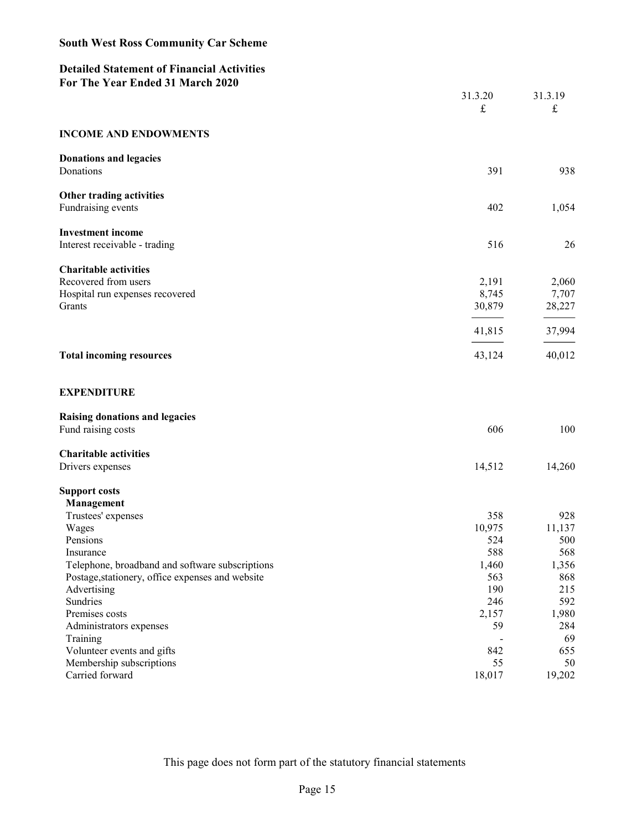# Detailed Statement of Financial Activities For The Year Ended 31 March 2020

| <b>South West Ross Community Car Scheme</b>                                                         |                      |                        |
|-----------------------------------------------------------------------------------------------------|----------------------|------------------------|
| <b>Detailed Statement of Financial Activities</b>                                                   |                      |                        |
| For The Year Ended 31 March 2020                                                                    |                      |                        |
|                                                                                                     | 31.3.20<br>$\pounds$ | 31.3.19<br>$\mathbf f$ |
|                                                                                                     |                      |                        |
| <b>INCOME AND ENDOWMENTS</b>                                                                        |                      |                        |
| <b>Donations and legacies</b>                                                                       |                      |                        |
| Donations                                                                                           | 391                  | 938                    |
| Other trading activities                                                                            | 402                  |                        |
| Fundraising events                                                                                  |                      | 1,054                  |
| <b>Investment income</b><br>Interest receivable - trading                                           | 516                  | 26                     |
|                                                                                                     |                      |                        |
| <b>Charitable activities</b><br>Recovered from users                                                | 2,191                | 2,060                  |
| Hospital run expenses recovered                                                                     | 8,745                | 7,707                  |
| Grants                                                                                              | 30,879               | 28,227                 |
|                                                                                                     | 41,815               | 37,994                 |
| <b>Total incoming resources</b>                                                                     | 43,124               | 40,012                 |
|                                                                                                     |                      |                        |
| <b>EXPENDITURE</b>                                                                                  |                      |                        |
| Raising donations and legacies                                                                      |                      |                        |
| Fund raising costs                                                                                  | 606                  | 100                    |
| <b>Charitable activities</b>                                                                        |                      |                        |
| Drivers expenses                                                                                    | 14,512               | 14,260                 |
| <b>Support costs</b>                                                                                |                      |                        |
| Management<br>Trustees' expenses                                                                    | 358                  | 928                    |
| Wages                                                                                               | 10,975               | 11,137                 |
| Pensions                                                                                            | 524                  | 500                    |
| Insurance                                                                                           | 588                  | 568                    |
| Telephone, broadband and software subscriptions<br>Postage, stationery, office expenses and website | 1,460<br>563         | 1,356<br>868           |
| Advertising                                                                                         | 190                  | 215                    |
| Sundries                                                                                            | 246                  | 592                    |
| Premises costs                                                                                      | 2,157                | 1,980                  |
| Administrators expenses                                                                             | 59                   | 284                    |
| Training                                                                                            | $\sim$<br>842        | 69<br>655              |
| Volunteer events and gifts<br>Membership subscriptions                                              | 55                   | 50                     |
| Carried forward                                                                                     | 18,017               | 19,202                 |